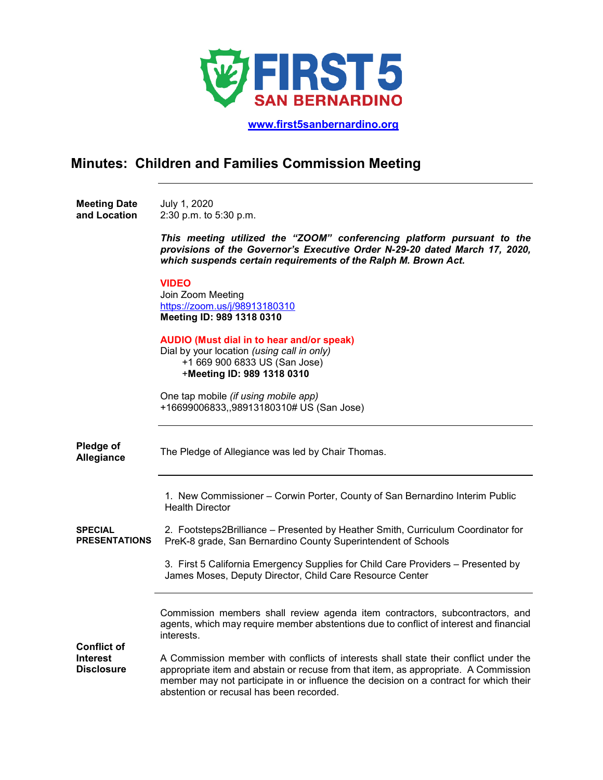

 **[www.first5sanbernardino.org](http://www.first5sanbernardino.org/)**

# **Minutes: Children and Families Commission Meeting**

**Meeting Date and Location**  July 1, 2020 2:30 p.m. to 5:30 p.m.

> *This meeting utilized the "ZOOM" conferencing platform pursuant to the provisions of the Governor's Executive Order N-29-20 dated March 17, 2020, which suspends certain requirements of the Ralph M. Brown Act.*

## **VIDEO**

Join Zoom Meeting <https://zoom.us/j/98913180310> **Meeting ID: 989 1318 0310**

#### **AUDIO (Must dial in to hear and/or speak)**

Dial by your location *(using call in only)* +1 669 900 6833 US (San Jose) +**Meeting ID: 989 1318 0310**

One tap mobile *(if using mobile app)* +16699006833,,98913180310# US (San Jose)

| Pledge of<br>Allegiance                | The Pledge of Allegiance was led by Chair Thomas.                                                                                                                                                                                                                                                                |
|----------------------------------------|------------------------------------------------------------------------------------------------------------------------------------------------------------------------------------------------------------------------------------------------------------------------------------------------------------------|
|                                        | 1. New Commissioner - Corwin Porter, County of San Bernardino Interim Public<br><b>Health Director</b>                                                                                                                                                                                                           |
| <b>SPECIAL</b><br><b>PRESENTATIONS</b> | 2. Footsteps2Brilliance – Presented by Heather Smith, Curriculum Coordinator for<br>PreK-8 grade, San Bernardino County Superintendent of Schools                                                                                                                                                                |
|                                        | 3. First 5 California Emergency Supplies for Child Care Providers – Presented by<br>James Moses, Deputy Director, Child Care Resource Center                                                                                                                                                                     |
| <b>Conflict of</b>                     | Commission members shall review agenda item contractors, subcontractors, and<br>agents, which may require member abstentions due to conflict of interest and financial<br>interests.                                                                                                                             |
| <b>Interest</b><br><b>Disclosure</b>   | A Commission member with conflicts of interests shall state their conflict under the<br>appropriate item and abstain or recuse from that item, as appropriate. A Commission<br>member may not participate in or influence the decision on a contract for which their<br>abstention or recusal has been recorded. |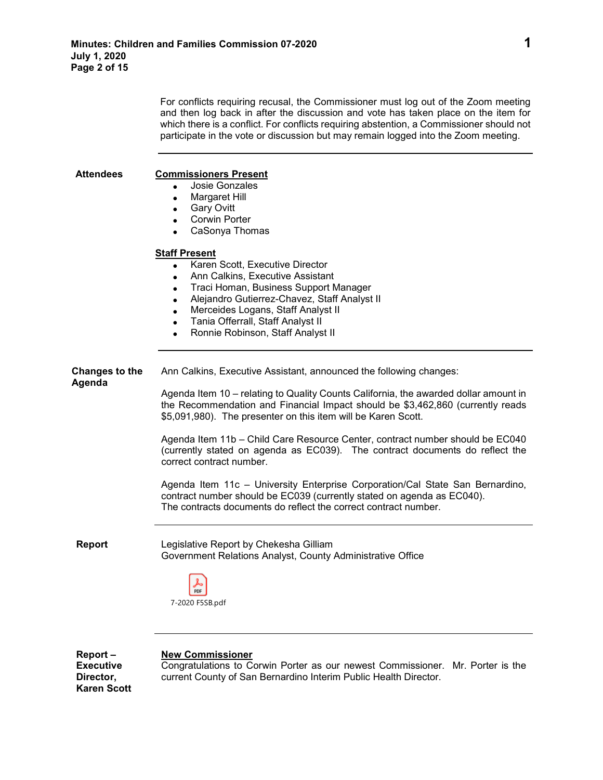For conflicts requiring recusal, the Commissioner must log out of the Zoom meeting and then log back in after the discussion and vote has taken place on the item for which there is a conflict. For conflicts requiring abstention, a Commissioner should not participate in the vote or discussion but may remain logged into the Zoom meeting.

### **Attendees Commissioners Present**

- Josie Gonzales
- Margaret Hill
- Gary Ovitt
- Corwin Porter
- CaSonya Thomas

#### **Staff Present**

| Karen Scott, Executive Director |  |
|---------------------------------|--|
| App Colling Evenutive Appietant |  |

- Ann Calkins, Executive Assistant
- Traci Homan, Business Support Manager
- Alejandro Gutierrez-Chavez, Staff Analyst II
- Merceides Logans, Staff Analyst II
- Tania Offerrall, Staff Analyst II
- Ronnie Robinson, Staff Analyst II

**Changes to the Agenda** Ann Calkins, Executive Assistant, announced the following changes:

> Agenda Item 10 – relating to Quality Counts California, the awarded dollar amount in the Recommendation and Financial Impact should be \$3,462,860 (currently reads \$5,091,980). The presenter on this item will be Karen Scott.

> Agenda Item 11b – Child Care Resource Center, contract number should be EC040 (currently stated on agenda as EC039). The contract documents do reflect the correct contract number.

> Agenda Item 11c – University Enterprise Corporation/Cal State San Bernardino, contract number should be EC039 (currently stated on agenda as EC040). The contracts documents do reflect the correct contract number.

**Report** Legislative Report by Chekesha Gilliam Government Relations Analyst, County Administrative Office



**Report – Executive Director, Karen Scott**

#### **New Commissioner**

Congratulations to Corwin Porter as our newest Commissioner. Mr. Porter is the current County of San Bernardino Interim Public Health Director.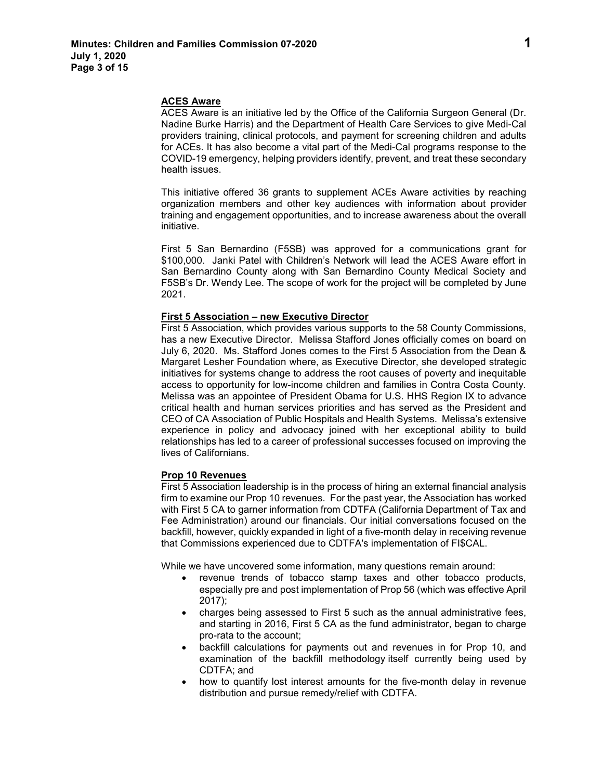#### **ACES Aware**

ACES Aware is an initiative led by the Office of the California Surgeon General (Dr. Nadine Burke Harris) and the Department of Health Care Services to give Medi-Cal providers training, clinical protocols, and payment for screening children and adults for ACEs. It has also become a vital part of the Medi-Cal programs response to the COVID-19 emergency, helping providers identify, prevent, and treat these secondary health issues.

This initiative offered 36 grants to supplement ACEs Aware activities by reaching organization members and other key audiences with information about provider training and engagement opportunities, and to increase awareness about the overall initiative.

First 5 San Bernardino (F5SB) was approved for a communications grant for \$100,000. Janki Patel with Children's Network will lead the ACES Aware effort in San Bernardino County along with San Bernardino County Medical Society and F5SB's Dr. Wendy Lee. The scope of work for the project will be completed by June 2021.

#### **First 5 Association – new Executive Director**

First 5 Association, which provides various supports to the 58 County Commissions, has a new Executive Director. Melissa Stafford Jones officially comes on board on July 6, 2020. Ms. Stafford Jones comes to the First 5 Association from the Dean & Margaret Lesher Foundation where, as Executive Director, she developed strategic initiatives for systems change to address the root causes of poverty and inequitable access to opportunity for low-income children and families in Contra Costa County. Melissa was an appointee of President Obama for U.S. HHS Region IX to advance critical health and human services priorities and has served as the President and CEO of CA Association of Public Hospitals and Health Systems. Melissa's extensive experience in policy and advocacy joined with her exceptional ability to build relationships has led to a career of professional successes focused on improving the lives of Californians.

#### **Prop 10 Revenues**

First 5 Association leadership is in the process of hiring an external financial analysis firm to examine our Prop 10 revenues. For the past year, the Association has worked with First 5 CA to garner information from CDTFA (California Department of Tax and Fee Administration) around our financials. Our initial conversations focused on the backfill, however, quickly expanded in light of a five-month delay in receiving revenue that Commissions experienced due to CDTFA's implementation of FI\$CAL.

While we have uncovered some information, many questions remain around:

- revenue trends of tobacco stamp taxes and other tobacco products, especially pre and post implementation of Prop 56 (which was effective April 2017);
- charges being assessed to First 5 such as the annual administrative fees, and starting in 2016, First 5 CA as the fund administrator, began to charge pro-rata to the account;
- backfill calculations for payments out and revenues in for Prop 10, and examination of the backfill methodology itself currently being used by CDTFA; and
- how to quantify lost interest amounts for the five-month delay in revenue distribution and pursue remedy/relief with CDTFA.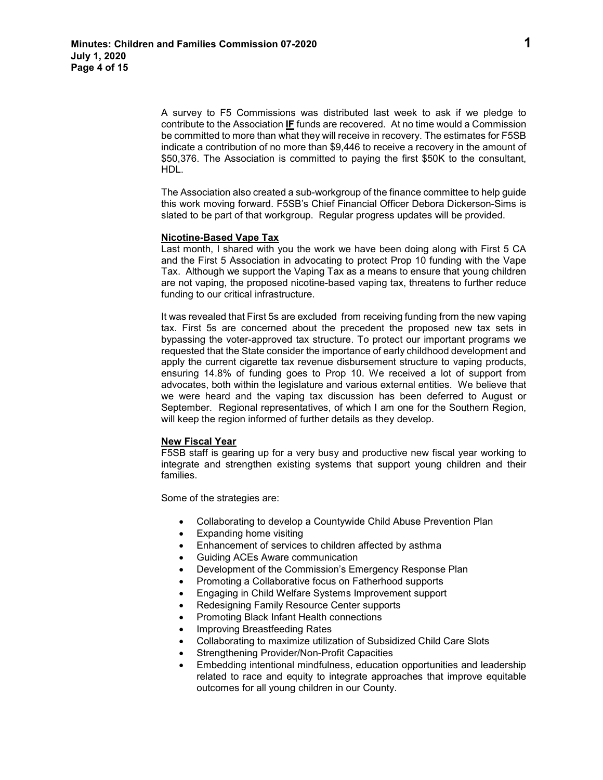A survey to F5 Commissions was distributed last week to ask if we pledge to contribute to the Association **IF** funds are recovered. At no time would a Commission be committed to more than what they will receive in recovery. The estimates for F5SB indicate a contribution of no more than \$9,446 to receive a recovery in the amount of \$50,376. The Association is committed to paying the first \$50K to the consultant, HDL.

The Association also created a sub-workgroup of the finance committee to help guide this work moving forward. F5SB's Chief Financial Officer Debora Dickerson-Sims is slated to be part of that workgroup. Regular progress updates will be provided.

#### **Nicotine-Based Vape Tax**

Last month, I shared with you the work we have been doing along with First 5 CA and the First 5 Association in advocating to protect Prop 10 funding with the Vape Tax.Although we support the Vaping Tax as a means to ensure that young children are not vaping, the proposed nicotine-based vaping tax, threatens to further reduce funding to our critical infrastructure.

It was revealed that First 5s are excluded from receiving funding from the new vaping tax. First 5s are concerned about the precedent the proposed new tax sets in bypassing the voter-approved tax structure. To protect our important programs we requested that the State consider the importance of early childhood development and apply the current cigarette tax revenue disbursement structure to vaping products, ensuring 14.8% of funding goes to Prop 10. We received a lot of support from advocates, both within the legislature and various external entities. We believe that we were heard and the vaping tax discussion has been deferred to August or September. Regional representatives, of which I am one for the Southern Region, will keep the region informed of further details as they develop.

#### **New Fiscal Year**

F5SB staff is gearing up for a very busy and productive new fiscal year working to integrate and strengthen existing systems that support young children and their families.

Some of the strategies are:

- Collaborating to develop a Countywide Child Abuse Prevention Plan
- Expanding home visiting
- Enhancement of services to children affected by asthma
- Guiding ACEs Aware communication
- Development of the Commission's Emergency Response Plan
- Promoting a Collaborative focus on Fatherhood supports
- Engaging in Child Welfare Systems Improvement support
- Redesigning Family Resource Center supports
- Promoting Black Infant Health connections
- Improving Breastfeeding Rates
- Collaborating to maximize utilization of Subsidized Child Care Slots
- Strengthening Provider/Non-Profit Capacities
- Embedding intentional mindfulness, education opportunities and leadership related to race and equity to integrate approaches that improve equitable outcomes for all young children in our County.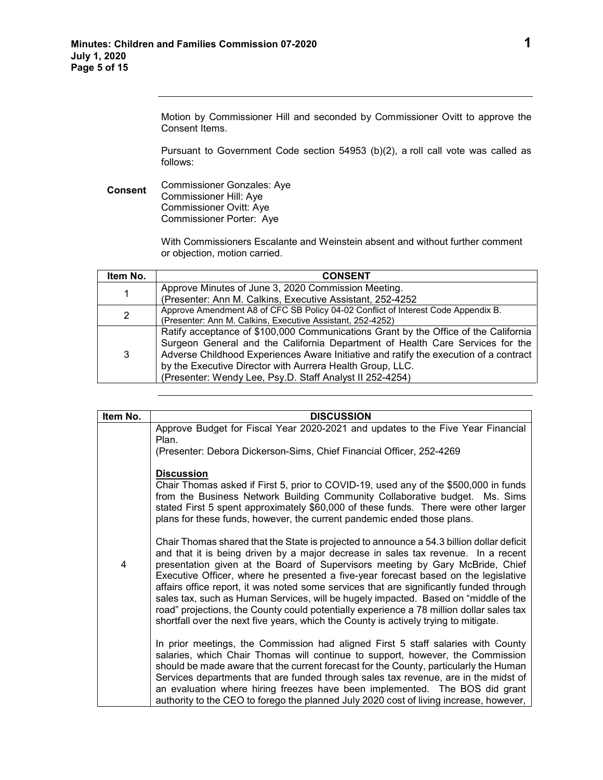Motion by Commissioner Hill and seconded by Commissioner Ovitt to approve the Consent Items.

Pursuant to Government Code section 54953 (b)(2), a roll call vote was called as follows:

**Consent** Commissioner Gonzales: Aye Commissioner Hill: Aye Commissioner Ovitt: Aye Commissioner Porter: Aye

> With Commissioners Escalante and Weinstein absent and without further comment or objection, motion carried.

| Item No. | <b>CONSENT</b>                                                                        |
|----------|---------------------------------------------------------------------------------------|
| 1        | Approve Minutes of June 3, 2020 Commission Meeting.                                   |
|          | (Presenter: Ann M. Calkins, Executive Assistant, 252-4252                             |
| 2        | Approve Amendment A8 of CFC SB Policy 04-02 Conflict of Interest Code Appendix B.     |
|          | (Presenter: Ann M. Calkins, Executive Assistant, 252-4252)                            |
|          | Ratify acceptance of \$100,000 Communications Grant by the Office of the California   |
| 3        | Surgeon General and the California Department of Health Care Services for the         |
|          | Adverse Childhood Experiences Aware Initiative and ratify the execution of a contract |
|          | by the Executive Director with Aurrera Health Group, LLC.                             |
|          | (Presenter: Wendy Lee, Psy.D. Staff Analyst II 252-4254)                              |

| Item No. | <b>DISCUSSION</b>                                                                                                                                                                                                                                                                                                                                                                                                                                                                                                                                                                                                                                                                                                            |
|----------|------------------------------------------------------------------------------------------------------------------------------------------------------------------------------------------------------------------------------------------------------------------------------------------------------------------------------------------------------------------------------------------------------------------------------------------------------------------------------------------------------------------------------------------------------------------------------------------------------------------------------------------------------------------------------------------------------------------------------|
|          | Approve Budget for Fiscal Year 2020-2021 and updates to the Five Year Financial<br>Plan.                                                                                                                                                                                                                                                                                                                                                                                                                                                                                                                                                                                                                                     |
|          | (Presenter: Debora Dickerson-Sims, Chief Financial Officer, 252-4269                                                                                                                                                                                                                                                                                                                                                                                                                                                                                                                                                                                                                                                         |
| 4        | <b>Discussion</b><br>Chair Thomas asked if First 5, prior to COVID-19, used any of the \$500,000 in funds<br>from the Business Network Building Community Collaborative budget. Ms. Sims<br>stated First 5 spent approximately \$60,000 of these funds. There were other larger<br>plans for these funds, however, the current pandemic ended those plans.                                                                                                                                                                                                                                                                                                                                                                   |
|          | Chair Thomas shared that the State is projected to announce a 54.3 billion dollar deficit<br>and that it is being driven by a major decrease in sales tax revenue. In a recent<br>presentation given at the Board of Supervisors meeting by Gary McBride, Chief<br>Executive Officer, where he presented a five-year forecast based on the legislative<br>affairs office report, it was noted some services that are significantly funded through<br>sales tax, such as Human Services, will be hugely impacted. Based on "middle of the<br>road" projections, the County could potentially experience a 78 million dollar sales tax<br>shortfall over the next five years, which the County is actively trying to mitigate. |
|          | In prior meetings, the Commission had aligned First 5 staff salaries with County<br>salaries, which Chair Thomas will continue to support, however, the Commission<br>should be made aware that the current forecast for the County, particularly the Human<br>Services departments that are funded through sales tax revenue, are in the midst of                                                                                                                                                                                                                                                                                                                                                                           |
|          | an evaluation where hiring freezes have been implemented. The BOS did grant<br>authority to the CEO to forego the planned July 2020 cost of living increase, however,                                                                                                                                                                                                                                                                                                                                                                                                                                                                                                                                                        |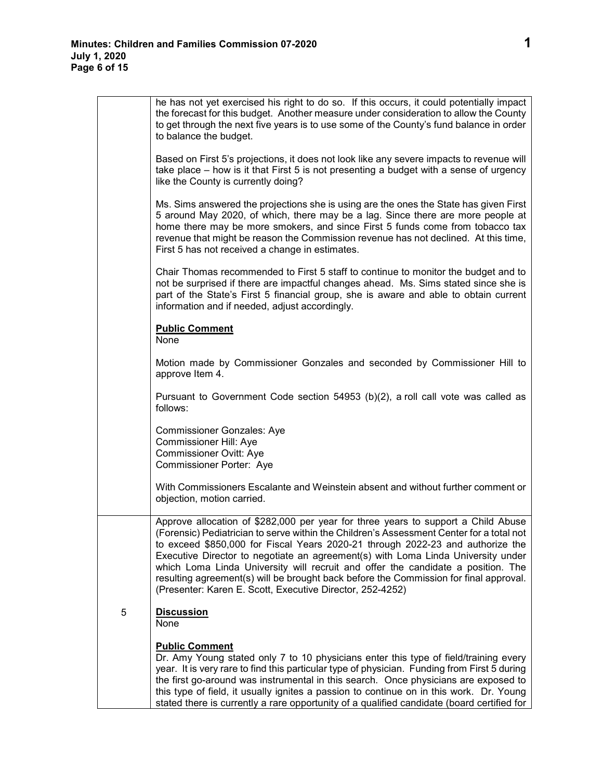|   | he has not yet exercised his right to do so. If this occurs, it could potentially impact<br>the forecast for this budget. Another measure under consideration to allow the County<br>to get through the next five years is to use some of the County's fund balance in order<br>to balance the budget.                                                                                                                                                                                                                                                                                        |
|---|-----------------------------------------------------------------------------------------------------------------------------------------------------------------------------------------------------------------------------------------------------------------------------------------------------------------------------------------------------------------------------------------------------------------------------------------------------------------------------------------------------------------------------------------------------------------------------------------------|
|   | Based on First 5's projections, it does not look like any severe impacts to revenue will<br>take place – how is it that First 5 is not presenting a budget with a sense of urgency<br>like the County is currently doing?                                                                                                                                                                                                                                                                                                                                                                     |
|   | Ms. Sims answered the projections she is using are the ones the State has given First<br>5 around May 2020, of which, there may be a lag. Since there are more people at<br>home there may be more smokers, and since First 5 funds come from tobacco tax<br>revenue that might be reason the Commission revenue has not declined. At this time,<br>First 5 has not received a change in estimates.                                                                                                                                                                                           |
|   | Chair Thomas recommended to First 5 staff to continue to monitor the budget and to<br>not be surprised if there are impactful changes ahead. Ms. Sims stated since she is<br>part of the State's First 5 financial group, she is aware and able to obtain current<br>information and if needed, adjust accordingly.                                                                                                                                                                                                                                                                           |
|   | <b>Public Comment</b><br>None                                                                                                                                                                                                                                                                                                                                                                                                                                                                                                                                                                 |
|   | Motion made by Commissioner Gonzales and seconded by Commissioner Hill to<br>approve Item 4.                                                                                                                                                                                                                                                                                                                                                                                                                                                                                                  |
|   | Pursuant to Government Code section 54953 (b)(2), a roll call vote was called as<br>follows:                                                                                                                                                                                                                                                                                                                                                                                                                                                                                                  |
|   | <b>Commissioner Gonzales: Aye</b><br>Commissioner Hill: Aye<br><b>Commissioner Ovitt: Aye</b><br>Commissioner Porter: Aye                                                                                                                                                                                                                                                                                                                                                                                                                                                                     |
|   | With Commissioners Escalante and Weinstein absent and without further comment or<br>objection, motion carried.                                                                                                                                                                                                                                                                                                                                                                                                                                                                                |
|   | Approve allocation of \$282,000 per year for three years to support a Child Abuse<br>(Forensic) Pediatrician to serve within the Children's Assessment Center for a total not<br>to exceed \$850,000 for Fiscal Years 2020-21 through 2022-23 and authorize the<br>Executive Director to negotiate an agreement(s) with Loma Linda University under<br>which Loma Linda University will recruit and offer the candidate a position. The<br>resulting agreement(s) will be brought back before the Commission for final approval.<br>(Presenter: Karen E. Scott, Executive Director, 252-4252) |
| 5 | <b>Discussion</b><br>None                                                                                                                                                                                                                                                                                                                                                                                                                                                                                                                                                                     |
|   | <b>Public Comment</b><br>Dr. Amy Young stated only 7 to 10 physicians enter this type of field/training every<br>year. It is very rare to find this particular type of physician. Funding from First 5 during<br>the first go-around was instrumental in this search. Once physicians are exposed to<br>this type of field, it usually ignites a passion to continue on in this work. Dr. Young                                                                                                                                                                                               |

stated there is currently a rare opportunity of a qualified candidate (board certified for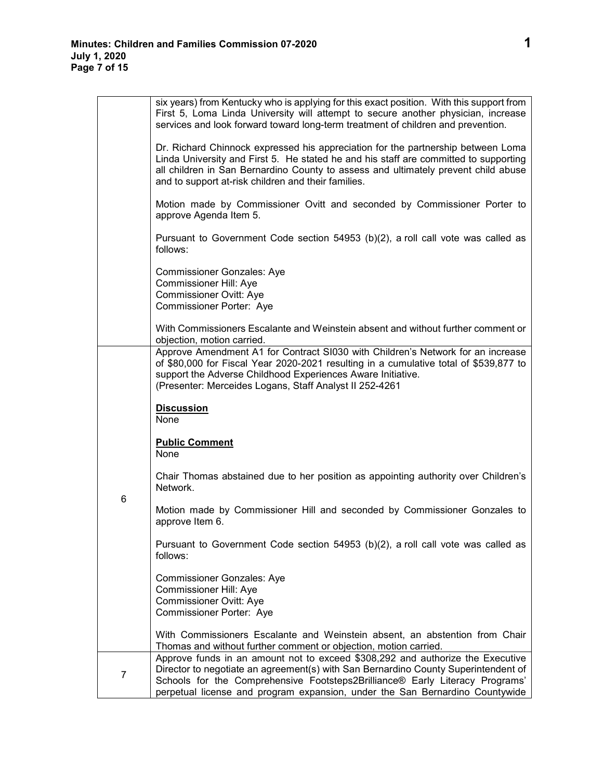|   | six years) from Kentucky who is applying for this exact position. With this support from<br>First 5, Loma Linda University will attempt to secure another physician, increase<br>services and look forward toward long-term treatment of children and prevention.                                                                    |
|---|--------------------------------------------------------------------------------------------------------------------------------------------------------------------------------------------------------------------------------------------------------------------------------------------------------------------------------------|
|   | Dr. Richard Chinnock expressed his appreciation for the partnership between Loma<br>Linda University and First 5. He stated he and his staff are committed to supporting<br>all children in San Bernardino County to assess and ultimately prevent child abuse<br>and to support at-risk children and their families.                |
|   | Motion made by Commissioner Ovitt and seconded by Commissioner Porter to<br>approve Agenda Item 5.                                                                                                                                                                                                                                   |
|   | Pursuant to Government Code section 54953 (b)(2), a roll call vote was called as<br>follows:                                                                                                                                                                                                                                         |
|   | <b>Commissioner Gonzales: Aye</b><br>Commissioner Hill: Aye<br><b>Commissioner Ovitt: Aye</b><br>Commissioner Porter: Aye                                                                                                                                                                                                            |
|   | With Commissioners Escalante and Weinstein absent and without further comment or<br>objection, motion carried.                                                                                                                                                                                                                       |
|   | Approve Amendment A1 for Contract SI030 with Children's Network for an increase<br>of \$80,000 for Fiscal Year 2020-2021 resulting in a cumulative total of \$539,877 to<br>support the Adverse Childhood Experiences Aware Initiative.<br>(Presenter: Merceides Logans, Staff Analyst II 252-4261                                   |
|   | <b>Discussion</b><br>None                                                                                                                                                                                                                                                                                                            |
|   | <b>Public Comment</b><br>None                                                                                                                                                                                                                                                                                                        |
| 6 | Chair Thomas abstained due to her position as appointing authority over Children's<br>Network.                                                                                                                                                                                                                                       |
|   | Motion made by Commissioner Hill and seconded by Commissioner Gonzales to<br>approve Item 6.                                                                                                                                                                                                                                         |
|   | Pursuant to Government Code section 54953 (b)(2), a roll call vote was called as<br>follows:                                                                                                                                                                                                                                         |
|   | <b>Commissioner Gonzales: Aye</b><br><b>Commissioner Hill: Aye</b><br><b>Commissioner Ovitt: Aye</b><br>Commissioner Porter: Aye                                                                                                                                                                                                     |
|   | With Commissioners Escalante and Weinstein absent, an abstention from Chair<br>Thomas and without further comment or objection, motion carried.                                                                                                                                                                                      |
| 7 | Approve funds in an amount not to exceed \$308,292 and authorize the Executive<br>Director to negotiate an agreement(s) with San Bernardino County Superintendent of<br>Schools for the Comprehensive Footsteps2Brilliance® Early Literacy Programs'<br>perpetual license and program expansion, under the San Bernardino Countywide |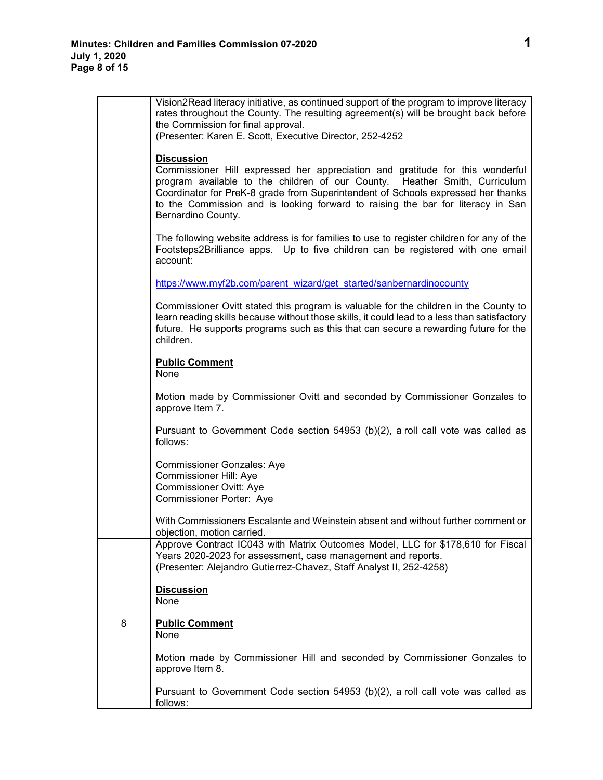|   | Vision2Read literacy initiative, as continued support of the program to improve literacy<br>rates throughout the County. The resulting agreement(s) will be brought back before<br>the Commission for final approval.<br>(Presenter: Karen E. Scott, Executive Director, 252-4252                                                                                             |
|---|-------------------------------------------------------------------------------------------------------------------------------------------------------------------------------------------------------------------------------------------------------------------------------------------------------------------------------------------------------------------------------|
|   | <b>Discussion</b><br>Commissioner Hill expressed her appreciation and gratitude for this wonderful<br>program available to the children of our County. Heather Smith, Curriculum<br>Coordinator for PreK-8 grade from Superintendent of Schools expressed her thanks<br>to the Commission and is looking forward to raising the bar for literacy in San<br>Bernardino County. |
|   | The following website address is for families to use to register children for any of the<br>Footsteps2Brilliance apps. Up to five children can be registered with one email<br>account:                                                                                                                                                                                       |
|   | https://www.myf2b.com/parent_wizard/get_started/sanbernardinocounty                                                                                                                                                                                                                                                                                                           |
|   | Commissioner Ovitt stated this program is valuable for the children in the County to<br>learn reading skills because without those skills, it could lead to a less than satisfactory<br>future. He supports programs such as this that can secure a rewarding future for the<br>children.                                                                                     |
|   | <b>Public Comment</b><br>None                                                                                                                                                                                                                                                                                                                                                 |
|   | Motion made by Commissioner Ovitt and seconded by Commissioner Gonzales to<br>approve Item 7.                                                                                                                                                                                                                                                                                 |
|   | Pursuant to Government Code section 54953 (b)(2), a roll call vote was called as<br>follows:                                                                                                                                                                                                                                                                                  |
|   | <b>Commissioner Gonzales: Aye</b><br>Commissioner Hill: Aye<br>Commissioner Ovitt: Aye<br>Commissioner Porter: Aye                                                                                                                                                                                                                                                            |
|   | With Commissioners Escalante and Weinstein absent and without further comment or<br>objection, motion carried.                                                                                                                                                                                                                                                                |
|   | Approve Contract IC043 with Matrix Outcomes Model, LLC for \$178,610 for Fiscal<br>Years 2020-2023 for assessment, case management and reports.<br>(Presenter: Alejandro Gutierrez-Chavez, Staff Analyst II, 252-4258)                                                                                                                                                        |
|   | <b>Discussion</b><br>None                                                                                                                                                                                                                                                                                                                                                     |
| 8 | <b>Public Comment</b><br>None                                                                                                                                                                                                                                                                                                                                                 |
|   | Motion made by Commissioner Hill and seconded by Commissioner Gonzales to<br>approve Item 8.                                                                                                                                                                                                                                                                                  |
|   | Pursuant to Government Code section 54953 (b)(2), a roll call vote was called as<br>follows:                                                                                                                                                                                                                                                                                  |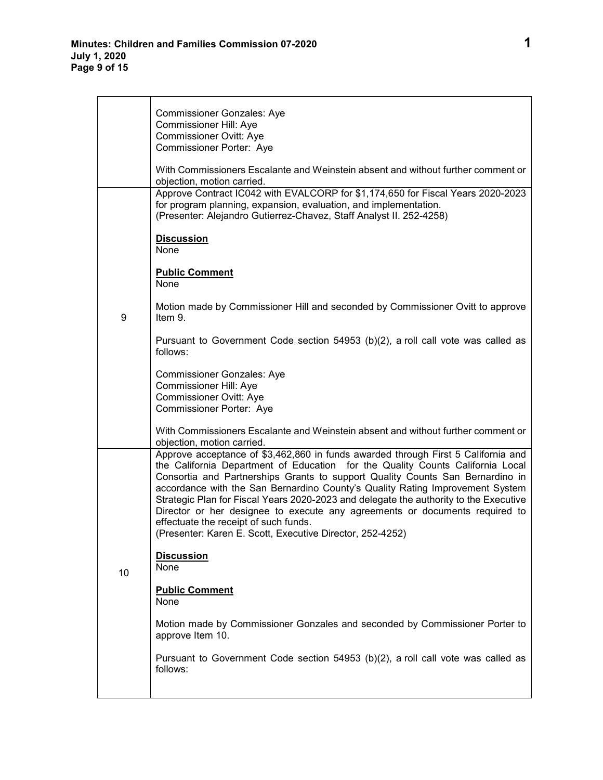|    | <b>Commissioner Gonzales: Aye</b><br>Commissioner Hill: Aye<br><b>Commissioner Ovitt: Aye</b><br>Commissioner Porter: Aye<br>With Commissioners Escalante and Weinstein absent and without further comment or<br>objection, motion carried.<br>Approve Contract IC042 with EVALCORP for \$1,174,650 for Fiscal Years 2020-2023<br>for program planning, expansion, evaluation, and implementation.                                                                                                                                                                                                                  |
|----|---------------------------------------------------------------------------------------------------------------------------------------------------------------------------------------------------------------------------------------------------------------------------------------------------------------------------------------------------------------------------------------------------------------------------------------------------------------------------------------------------------------------------------------------------------------------------------------------------------------------|
|    | (Presenter: Alejandro Gutierrez-Chavez, Staff Analyst II. 252-4258)<br><b>Discussion</b><br>None<br><b>Public Comment</b><br>None                                                                                                                                                                                                                                                                                                                                                                                                                                                                                   |
| 9  | Motion made by Commissioner Hill and seconded by Commissioner Ovitt to approve<br>Item 9.                                                                                                                                                                                                                                                                                                                                                                                                                                                                                                                           |
|    | Pursuant to Government Code section 54953 (b)(2), a roll call vote was called as<br>follows:                                                                                                                                                                                                                                                                                                                                                                                                                                                                                                                        |
|    | <b>Commissioner Gonzales: Aye</b><br>Commissioner Hill: Aye<br>Commissioner Ovitt: Aye<br>Commissioner Porter: Aye                                                                                                                                                                                                                                                                                                                                                                                                                                                                                                  |
|    | With Commissioners Escalante and Weinstein absent and without further comment or<br>objection, motion carried.                                                                                                                                                                                                                                                                                                                                                                                                                                                                                                      |
| 10 | Approve acceptance of \$3,462,860 in funds awarded through First 5 California and<br>the California Department of Education for the Quality Counts California Local<br>Consortia and Partnerships Grants to support Quality Counts San Bernardino in<br>accordance with the San Bernardino County's Quality Rating Improvement System<br>Strategic Plan for Fiscal Years 2020-2023 and delegate the authority to the Executive<br>Director or her designee to execute any agreements or documents required to<br>effectuate the receipt of such funds.<br>(Presenter: Karen E. Scott, Executive Director, 252-4252) |
|    | <b>Discussion</b><br>None                                                                                                                                                                                                                                                                                                                                                                                                                                                                                                                                                                                           |
|    | <b>Public Comment</b><br>None                                                                                                                                                                                                                                                                                                                                                                                                                                                                                                                                                                                       |
|    | Motion made by Commissioner Gonzales and seconded by Commissioner Porter to<br>approve Item 10.                                                                                                                                                                                                                                                                                                                                                                                                                                                                                                                     |
|    | Pursuant to Government Code section 54953 (b)(2), a roll call vote was called as<br>follows:                                                                                                                                                                                                                                                                                                                                                                                                                                                                                                                        |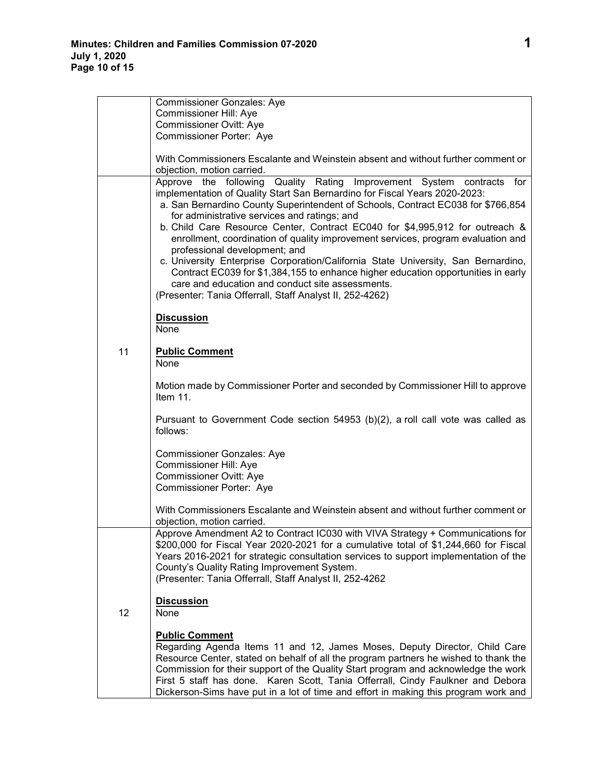|    | <b>Commissioner Gonzales: Aye</b><br>Commissioner Hill: Aye<br><b>Commissioner Ovitt: Aye</b><br>Commissioner Porter: Aye                                                                                                                                                                                                                                                                                                                                                                                                                                                                                                                                                                                                                                                              |
|----|----------------------------------------------------------------------------------------------------------------------------------------------------------------------------------------------------------------------------------------------------------------------------------------------------------------------------------------------------------------------------------------------------------------------------------------------------------------------------------------------------------------------------------------------------------------------------------------------------------------------------------------------------------------------------------------------------------------------------------------------------------------------------------------|
|    | With Commissioners Escalante and Weinstein absent and without further comment or<br>objection, motion carried.                                                                                                                                                                                                                                                                                                                                                                                                                                                                                                                                                                                                                                                                         |
|    | Approve the following Quality Rating Improvement System contracts for<br>implementation of Quality Start San Bernardino for Fiscal Years 2020-2023:<br>a. San Bernardino County Superintendent of Schools, Contract EC038 for \$766,854<br>for administrative services and ratings; and<br>b. Child Care Resource Center, Contract EC040 for \$4,995,912 for outreach &<br>enrollment, coordination of quality improvement services, program evaluation and<br>professional development; and<br>c. University Enterprise Corporation/California State University, San Bernardino,<br>Contract EC039 for \$1,384,155 to enhance higher education opportunities in early<br>care and education and conduct site assessments.<br>(Presenter: Tania Offerrall, Staff Analyst II, 252-4262) |
|    | <b>Discussion</b><br>None                                                                                                                                                                                                                                                                                                                                                                                                                                                                                                                                                                                                                                                                                                                                                              |
| 11 | <b>Public Comment</b><br>None                                                                                                                                                                                                                                                                                                                                                                                                                                                                                                                                                                                                                                                                                                                                                          |
|    | Motion made by Commissioner Porter and seconded by Commissioner Hill to approve<br>Item 11.                                                                                                                                                                                                                                                                                                                                                                                                                                                                                                                                                                                                                                                                                            |
|    | Pursuant to Government Code section 54953 (b)(2), a roll call vote was called as<br>follows:                                                                                                                                                                                                                                                                                                                                                                                                                                                                                                                                                                                                                                                                                           |
|    | <b>Commissioner Gonzales: Aye</b><br>Commissioner Hill: Aye<br>Commissioner Ovitt: Aye<br>Commissioner Porter: Aye                                                                                                                                                                                                                                                                                                                                                                                                                                                                                                                                                                                                                                                                     |
|    | With Commissioners Escalante and Weinstein absent and without further comment or<br>objection, motion carried.                                                                                                                                                                                                                                                                                                                                                                                                                                                                                                                                                                                                                                                                         |
|    | Approve Amendment A2 to Contract IC030 with VIVA Strategy + Communications for<br>\$200,000 for Fiscal Year 2020-2021 for a cumulative total of \$1,244,660 for Fiscal<br>Years 2016-2021 for strategic consultation services to support implementation of the<br>County's Quality Rating Improvement System.<br>(Presenter: Tania Offerrall, Staff Analyst II, 252-4262                                                                                                                                                                                                                                                                                                                                                                                                               |
| 12 | <b>Discussion</b><br>None                                                                                                                                                                                                                                                                                                                                                                                                                                                                                                                                                                                                                                                                                                                                                              |
|    | <b>Public Comment</b><br>Regarding Agenda Items 11 and 12, James Moses, Deputy Director, Child Care<br>Resource Center, stated on behalf of all the program partners he wished to thank the<br>Commission for their support of the Quality Start program and acknowledge the work<br>First 5 staff has done. Karen Scott, Tania Offerrall, Cindy Faulkner and Debora<br>Dickerson-Sims have put in a lot of time and effort in making this program work and                                                                                                                                                                                                                                                                                                                            |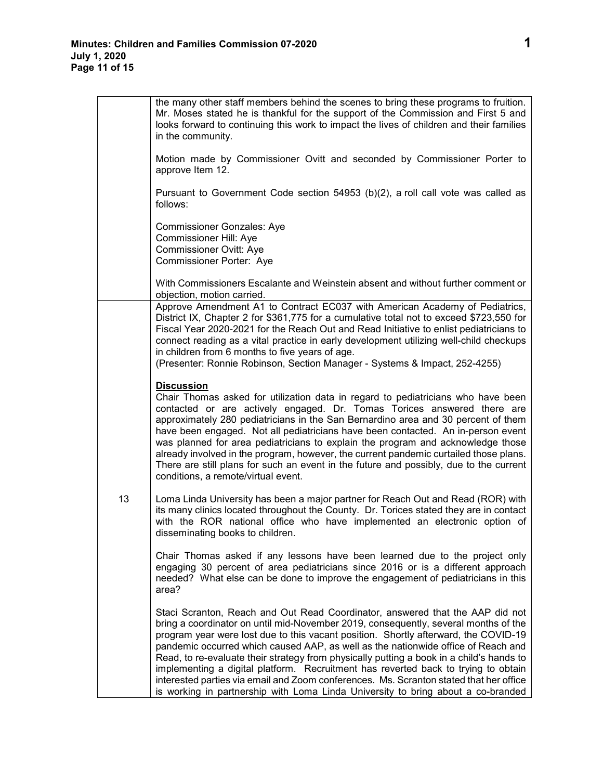$\mathbf{r}$ 

|    | the many other staff members behind the scenes to bring these programs to fruition.<br>Mr. Moses stated he is thankful for the support of the Commission and First 5 and<br>looks forward to continuing this work to impact the lives of children and their families<br>in the community.                                                                                                                                                                                                                                                                                                                                                                                                                        |
|----|------------------------------------------------------------------------------------------------------------------------------------------------------------------------------------------------------------------------------------------------------------------------------------------------------------------------------------------------------------------------------------------------------------------------------------------------------------------------------------------------------------------------------------------------------------------------------------------------------------------------------------------------------------------------------------------------------------------|
|    | Motion made by Commissioner Ovitt and seconded by Commissioner Porter to<br>approve Item 12.                                                                                                                                                                                                                                                                                                                                                                                                                                                                                                                                                                                                                     |
|    | Pursuant to Government Code section 54953 (b)(2), a roll call vote was called as<br>follows:                                                                                                                                                                                                                                                                                                                                                                                                                                                                                                                                                                                                                     |
|    | <b>Commissioner Gonzales: Aye</b><br><b>Commissioner Hill: Aye</b><br><b>Commissioner Ovitt: Aye</b><br>Commissioner Porter: Aye                                                                                                                                                                                                                                                                                                                                                                                                                                                                                                                                                                                 |
|    | With Commissioners Escalante and Weinstein absent and without further comment or<br>objection, motion carried.                                                                                                                                                                                                                                                                                                                                                                                                                                                                                                                                                                                                   |
|    | Approve Amendment A1 to Contract EC037 with American Academy of Pediatrics,<br>District IX, Chapter 2 for \$361,775 for a cumulative total not to exceed \$723,550 for<br>Fiscal Year 2020-2021 for the Reach Out and Read Initiative to enlist pediatricians to<br>connect reading as a vital practice in early development utilizing well-child checkups<br>in children from 6 months to five years of age.<br>(Presenter: Ronnie Robinson, Section Manager - Systems & Impact, 252-4255)                                                                                                                                                                                                                      |
|    | <b>Discussion</b><br>Chair Thomas asked for utilization data in regard to pediatricians who have been<br>contacted or are actively engaged. Dr. Tomas Torices answered there are<br>approximately 280 pediatricians in the San Bernardino area and 30 percent of them<br>have been engaged. Not all pediatricians have been contacted. An in-person event<br>was planned for area pediatricians to explain the program and acknowledge those<br>already involved in the program, however, the current pandemic curtailed those plans.<br>There are still plans for such an event in the future and possibly, due to the current<br>conditions, a remote/virtual event.                                           |
| 13 | Loma Linda University has been a major partner for Reach Out and Read (ROR) with<br>its many clinics located throughout the County. Dr. Torices stated they are in contact<br>with the ROR national office who have implemented an electronic option of<br>disseminating books to children.                                                                                                                                                                                                                                                                                                                                                                                                                      |
|    | Chair Thomas asked if any lessons have been learned due to the project only<br>engaging 30 percent of area pediatricians since 2016 or is a different approach<br>needed? What else can be done to improve the engagement of pediatricians in this<br>area?                                                                                                                                                                                                                                                                                                                                                                                                                                                      |
|    | Staci Scranton, Reach and Out Read Coordinator, answered that the AAP did not<br>bring a coordinator on until mid-November 2019, consequently, several months of the<br>program year were lost due to this vacant position. Shortly afterward, the COVID-19<br>pandemic occurred which caused AAP, as well as the nationwide office of Reach and<br>Read, to re-evaluate their strategy from physically putting a book in a child's hands to<br>implementing a digital platform. Recruitment has reverted back to trying to obtain<br>interested parties via email and Zoom conferences. Ms. Scranton stated that her office<br>is working in partnership with Loma Linda University to bring about a co-branded |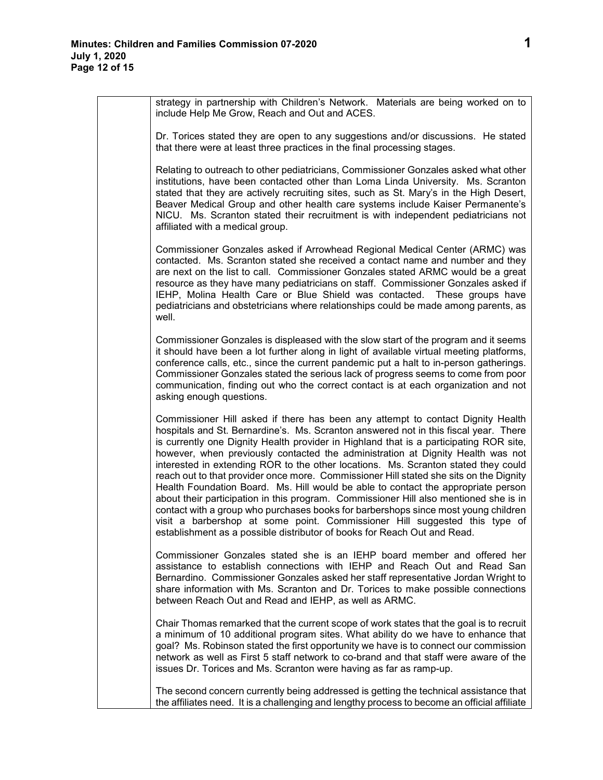strategy in partnership with Children's Network. Materials are being worked on to include Help Me Grow, Reach and Out and ACES.

Dr. Torices stated they are open to any suggestions and/or discussions. He stated that there were at least three practices in the final processing stages.

Relating to outreach to other pediatricians, Commissioner Gonzales asked what other institutions, have been contacted other than Loma Linda University. Ms. Scranton stated that they are actively recruiting sites, such as St. Mary's in the High Desert, Beaver Medical Group and other health care systems include Kaiser Permanente's NICU. Ms. Scranton stated their recruitment is with independent pediatricians not affiliated with a medical group.

Commissioner Gonzales asked if Arrowhead Regional Medical Center (ARMC) was contacted. Ms. Scranton stated she received a contact name and number and they are next on the list to call. Commissioner Gonzales stated ARMC would be a great resource as they have many pediatricians on staff. Commissioner Gonzales asked if IEHP, Molina Health Care or Blue Shield was contacted. These groups have pediatricians and obstetricians where relationships could be made among parents, as well.

Commissioner Gonzales is displeased with the slow start of the program and it seems it should have been a lot further along in light of available virtual meeting platforms, conference calls, etc., since the current pandemic put a halt to in-person gatherings. Commissioner Gonzales stated the serious lack of progress seems to come from poor communication, finding out who the correct contact is at each organization and not asking enough questions.

Commissioner Hill asked if there has been any attempt to contact Dignity Health hospitals and St. Bernardine's. Ms. Scranton answered not in this fiscal year. There is currently one Dignity Health provider in Highland that is a participating ROR site, however, when previously contacted the administration at Dignity Health was not interested in extending ROR to the other locations. Ms. Scranton stated they could reach out to that provider once more. Commissioner Hill stated she sits on the Dignity Health Foundation Board. Ms. Hill would be able to contact the appropriate person about their participation in this program. Commissioner Hill also mentioned she is in contact with a group who purchases books for barbershops since most young children visit a barbershop at some point. Commissioner Hill suggested this type of establishment as a possible distributor of books for Reach Out and Read.

Commissioner Gonzales stated she is an IEHP board member and offered her assistance to establish connections with IEHP and Reach Out and Read San Bernardino. Commissioner Gonzales asked her staff representative Jordan Wright to share information with Ms. Scranton and Dr. Torices to make possible connections between Reach Out and Read and IEHP, as well as ARMC.

Chair Thomas remarked that the current scope of work states that the goal is to recruit a minimum of 10 additional program sites. What ability do we have to enhance that goal? Ms. Robinson stated the first opportunity we have is to connect our commission network as well as First 5 staff network to co-brand and that staff were aware of the issues Dr. Torices and Ms. Scranton were having as far as ramp-up.

The second concern currently being addressed is getting the technical assistance that the affiliates need. It is a challenging and lengthy process to become an official affiliate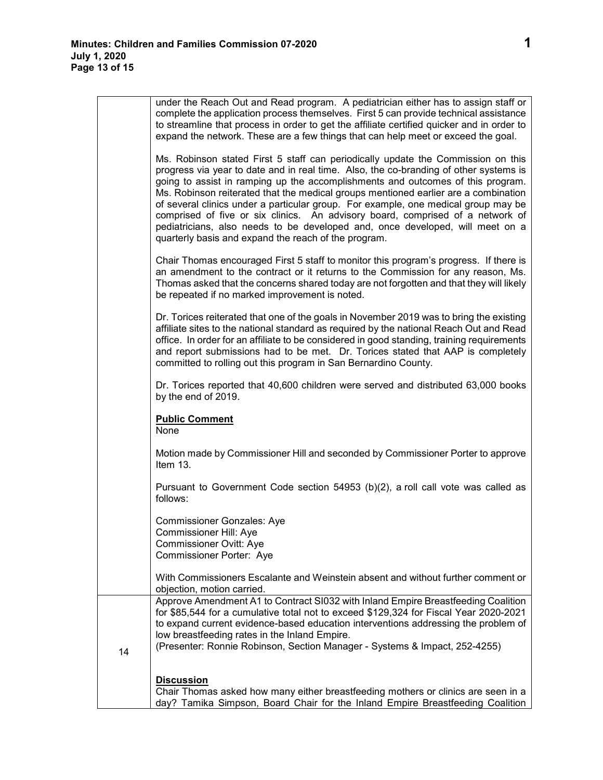|    | under the Reach Out and Read program. A pediatrician either has to assign staff or<br>complete the application process themselves. First 5 can provide technical assistance<br>to streamline that process in order to get the affiliate certified quicker and in order to<br>expand the network. These are a few things that can help meet or exceed the goal.                                                                                                                                                                                                                                                                                                       |
|----|----------------------------------------------------------------------------------------------------------------------------------------------------------------------------------------------------------------------------------------------------------------------------------------------------------------------------------------------------------------------------------------------------------------------------------------------------------------------------------------------------------------------------------------------------------------------------------------------------------------------------------------------------------------------|
|    | Ms. Robinson stated First 5 staff can periodically update the Commission on this<br>progress via year to date and in real time. Also, the co-branding of other systems is<br>going to assist in ramping up the accomplishments and outcomes of this program.<br>Ms. Robinson reiterated that the medical groups mentioned earlier are a combination<br>of several clinics under a particular group. For example, one medical group may be<br>comprised of five or six clinics. An advisory board, comprised of a network of<br>pediatricians, also needs to be developed and, once developed, will meet on a<br>quarterly basis and expand the reach of the program. |
|    | Chair Thomas encouraged First 5 staff to monitor this program's progress. If there is<br>an amendment to the contract or it returns to the Commission for any reason, Ms.<br>Thomas asked that the concerns shared today are not forgotten and that they will likely<br>be repeated if no marked improvement is noted.                                                                                                                                                                                                                                                                                                                                               |
|    | Dr. Torices reiterated that one of the goals in November 2019 was to bring the existing<br>affiliate sites to the national standard as required by the national Reach Out and Read<br>office. In order for an affiliate to be considered in good standing, training requirements<br>and report submissions had to be met. Dr. Torices stated that AAP is completely<br>committed to rolling out this program in San Bernardino County.                                                                                                                                                                                                                               |
|    | Dr. Torices reported that 40,600 children were served and distributed 63,000 books<br>by the end of 2019.                                                                                                                                                                                                                                                                                                                                                                                                                                                                                                                                                            |
|    | <b>Public Comment</b><br>None                                                                                                                                                                                                                                                                                                                                                                                                                                                                                                                                                                                                                                        |
|    | Motion made by Commissioner Hill and seconded by Commissioner Porter to approve<br>Item 13.                                                                                                                                                                                                                                                                                                                                                                                                                                                                                                                                                                          |
|    | Pursuant to Government Code section 54953 (b)(2), a roll call vote was called as<br>follows:                                                                                                                                                                                                                                                                                                                                                                                                                                                                                                                                                                         |
|    | <b>Commissioner Gonzales: Aye</b><br>Commissioner Hill: Aye<br>Commissioner Ovitt: Aye<br>Commissioner Porter: Aye                                                                                                                                                                                                                                                                                                                                                                                                                                                                                                                                                   |
|    | With Commissioners Escalante and Weinstein absent and without further comment or<br>objection, motion carried.                                                                                                                                                                                                                                                                                                                                                                                                                                                                                                                                                       |
| 14 | Approve Amendment A1 to Contract SI032 with Inland Empire Breastfeeding Coalition<br>for \$85,544 for a cumulative total not to exceed \$129,324 for Fiscal Year 2020-2021<br>to expand current evidence-based education interventions addressing the problem of<br>low breastfeeding rates in the Inland Empire.<br>(Presenter: Ronnie Robinson, Section Manager - Systems & Impact, 252-4255)                                                                                                                                                                                                                                                                      |
|    | <b>Discussion</b><br>Chair Thomas asked how many either breastfeeding mothers or clinics are seen in a<br>day? Tamika Simpson, Board Chair for the Inland Empire Breastfeeding Coalition                                                                                                                                                                                                                                                                                                                                                                                                                                                                             |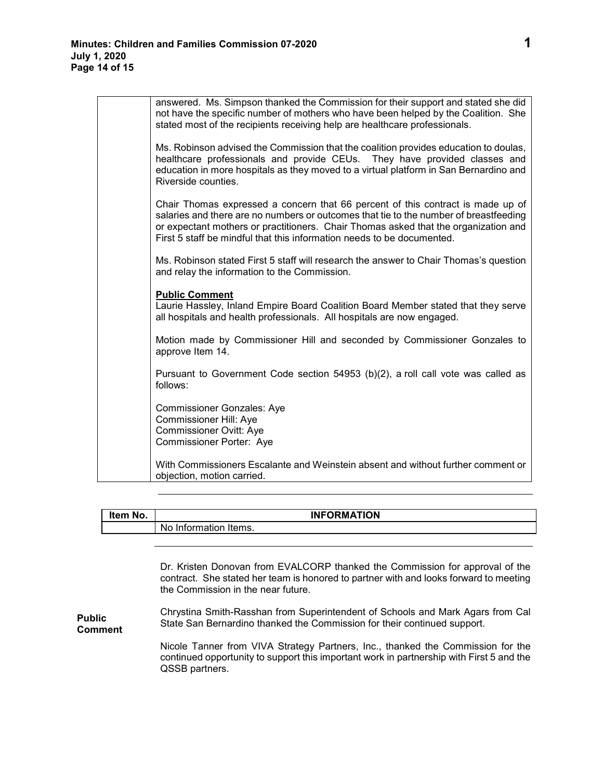| answered. Ms. Simpson thanked the Commission for their support and stated she did<br>not have the specific number of mothers who have been helped by the Coalition. She<br>stated most of the recipients receiving help are healthcare professionals.                                                                                     |
|-------------------------------------------------------------------------------------------------------------------------------------------------------------------------------------------------------------------------------------------------------------------------------------------------------------------------------------------|
| Ms. Robinson advised the Commission that the coalition provides education to doulas,<br>healthcare professionals and provide CEUs. They have provided classes and<br>education in more hospitals as they moved to a virtual platform in San Bernardino and<br>Riverside counties.                                                         |
| Chair Thomas expressed a concern that 66 percent of this contract is made up of<br>salaries and there are no numbers or outcomes that tie to the number of breastfeeding<br>or expectant mothers or practitioners. Chair Thomas asked that the organization and<br>First 5 staff be mindful that this information needs to be documented. |
| Ms. Robinson stated First 5 staff will research the answer to Chair Thomas's question<br>and relay the information to the Commission.                                                                                                                                                                                                     |
| <b>Public Comment</b><br>Laurie Hassley, Inland Empire Board Coalition Board Member stated that they serve<br>all hospitals and health professionals. All hospitals are now engaged.                                                                                                                                                      |
| Motion made by Commissioner Hill and seconded by Commissioner Gonzales to<br>approve Item 14.                                                                                                                                                                                                                                             |
| Pursuant to Government Code section 54953 (b)(2), a roll call vote was called as<br>follows:                                                                                                                                                                                                                                              |
| <b>Commissioner Gonzales: Aye</b><br><b>Commissioner Hill: Aye</b><br><b>Commissioner Ovitt: Aye</b>                                                                                                                                                                                                                                      |
| Commissioner Porter: Aye                                                                                                                                                                                                                                                                                                                  |
| With Commissioners Escalante and Weinstein absent and without further comment or<br>objection, motion carried.                                                                                                                                                                                                                            |

| Item No. | <b>INFORMATION</b>    |  |
|----------|-----------------------|--|
|          | No Information Items. |  |

Dr. Kristen Donovan from EVALCORP thanked the Commission for approval of the contract. She stated her team is honored to partner with and looks forward to meeting the Commission in the near future.

**Public Comment** Chrystina Smith-Rasshan from Superintendent of Schools and Mark Agars from Cal State San Bernardino thanked the Commission for their continued support.

> Nicole Tanner from VIVA Strategy Partners, Inc., thanked the Commission for the continued opportunity to support this important work in partnership with First 5 and the QSSB partners.